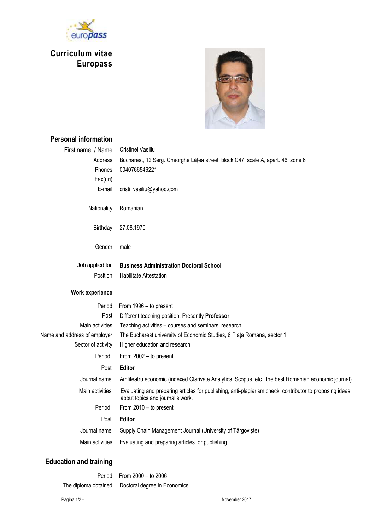

**Curriculum vitae Europass** 



| <b>Personal information</b>   |                                                                                                                                             |  |  |  |  |
|-------------------------------|---------------------------------------------------------------------------------------------------------------------------------------------|--|--|--|--|
| First name / Name             | <b>Cristinel Vasiliu</b>                                                                                                                    |  |  |  |  |
| Address                       | Bucharest, 12 Serg. Gheorghe Lățea street, block C47, scale A, apart. 46, zone 6                                                            |  |  |  |  |
| Phones                        | 0040766546221                                                                                                                               |  |  |  |  |
| Fax(uri)                      |                                                                                                                                             |  |  |  |  |
| E-mail                        | cristi_vasiliu@yahoo.com                                                                                                                    |  |  |  |  |
| Nationality                   | Romanian                                                                                                                                    |  |  |  |  |
| <b>Birthday</b>               | 27.08.1970                                                                                                                                  |  |  |  |  |
| Gender                        | male                                                                                                                                        |  |  |  |  |
| Job applied for               | <b>Business Administration Doctoral School</b>                                                                                              |  |  |  |  |
| Position                      | Habilitate Attestation                                                                                                                      |  |  |  |  |
| Work experience               |                                                                                                                                             |  |  |  |  |
| Period                        | From 1996 - to present                                                                                                                      |  |  |  |  |
| Post                          | Different teaching position. Presently Professor                                                                                            |  |  |  |  |
| Main activities               | Teaching activities - courses and seminars, research                                                                                        |  |  |  |  |
| Name and address of employer  | The Bucharest university of Economic Studies, 6 Piața Romană, sector 1                                                                      |  |  |  |  |
| Sector of activity            | Higher education and research                                                                                                               |  |  |  |  |
| Period                        | From 2002 - to present                                                                                                                      |  |  |  |  |
| Post                          | Editor                                                                                                                                      |  |  |  |  |
| Journal name                  | Amfiteatru economic (indexed Clarivate Analytics, Scopus, etc.; the best Romanian economic journal)                                         |  |  |  |  |
| Main activities               | Evaluating and preparing articles for publishing, anti-plagiarism check, contributor to proposing ideas<br>about topics and journal's work. |  |  |  |  |
| Period                        | From 2010 - to present                                                                                                                      |  |  |  |  |
| Post                          | Editor                                                                                                                                      |  |  |  |  |
| Journal name                  | Supply Chain Management Journal (University of Târgoviște)                                                                                  |  |  |  |  |
| Main activities               | Evaluating and preparing articles for publishing                                                                                            |  |  |  |  |
| <b>Education and training</b> |                                                                                                                                             |  |  |  |  |

Period From  $2000 -$  to  $2006$ The diploma obtained  $\vert$  Doctoral degree in Economics

Pagina 1/3 - November 2017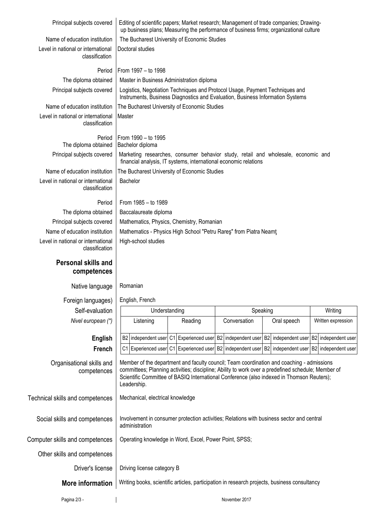| Principal subjects covered                           | Editing of scientific papers; Market research; Management of trade companies; Drawing-<br>up business plans; Measuring the performance of business firms; organizational culture                                                                                                                            |         |  |              |  |                     |  |                    |
|------------------------------------------------------|-------------------------------------------------------------------------------------------------------------------------------------------------------------------------------------------------------------------------------------------------------------------------------------------------------------|---------|--|--------------|--|---------------------|--|--------------------|
| Name of education institution                        | The Bucharest University of Economic Studies                                                                                                                                                                                                                                                                |         |  |              |  |                     |  |                    |
| Level in national or international                   | Doctoral studies                                                                                                                                                                                                                                                                                            |         |  |              |  |                     |  |                    |
| classification                                       |                                                                                                                                                                                                                                                                                                             |         |  |              |  |                     |  |                    |
| Period                                               | From 1997 - to 1998                                                                                                                                                                                                                                                                                         |         |  |              |  |                     |  |                    |
| The diploma obtained                                 | Master in Business Administration diploma                                                                                                                                                                                                                                                                   |         |  |              |  |                     |  |                    |
| Principal subjects covered                           | Logistics, Negotiation Techniques and Protocol Usage, Payment Techniques and<br>Instruments, Business Diagnostics and Evaluation, Business Information Systems                                                                                                                                              |         |  |              |  |                     |  |                    |
| Name of education institution                        | The Bucharest University of Economic Studies                                                                                                                                                                                                                                                                |         |  |              |  |                     |  |                    |
| Level in national or international<br>classification | Master                                                                                                                                                                                                                                                                                                      |         |  |              |  |                     |  |                    |
| Period<br>The diploma obtained                       | From 1990 - to 1995<br>Bachelor diploma                                                                                                                                                                                                                                                                     |         |  |              |  |                     |  |                    |
| Principal subjects covered                           | Marketing researches, consumer behavior study, retail and wholesale, economic and<br>financial analysis, IT systems, international economic relations                                                                                                                                                       |         |  |              |  |                     |  |                    |
| Name of education institution                        | The Bucharest University of Economic Studies                                                                                                                                                                                                                                                                |         |  |              |  |                     |  |                    |
| Level in national or international<br>classification | Bachelor                                                                                                                                                                                                                                                                                                    |         |  |              |  |                     |  |                    |
| Period                                               | From 1985 - to 1989                                                                                                                                                                                                                                                                                         |         |  |              |  |                     |  |                    |
| The diploma obtained                                 | Baccalaureate diploma                                                                                                                                                                                                                                                                                       |         |  |              |  |                     |  |                    |
| Principal subjects covered                           | Mathematics, Physics, Chemistry, Romanian                                                                                                                                                                                                                                                                   |         |  |              |  |                     |  |                    |
| Name of education institution                        | Mathematics - Physics High School "Petru Rares" from Piatra Neamt                                                                                                                                                                                                                                           |         |  |              |  |                     |  |                    |
| Level in national or international<br>classification | High-school studies                                                                                                                                                                                                                                                                                         |         |  |              |  |                     |  |                    |
| Personal skills and<br>competences                   |                                                                                                                                                                                                                                                                                                             |         |  |              |  |                     |  |                    |
| Native language                                      | Romanian                                                                                                                                                                                                                                                                                                    |         |  |              |  |                     |  |                    |
| Foreign languages)                                   | English, French                                                                                                                                                                                                                                                                                             |         |  |              |  |                     |  |                    |
| Self-evaluation                                      | Understanding<br>Speaking<br>Writing                                                                                                                                                                                                                                                                        |         |  |              |  |                     |  |                    |
| Nivel european (*)                                   | Listening                                                                                                                                                                                                                                                                                                   | Reading |  | Conversation |  | Oral speech         |  | Written expression |
| <b>English</b>                                       | B2 independent user C1 Experienced user B2 independent user B2                                                                                                                                                                                                                                              |         |  |              |  | independent user B2 |  | independent user   |
| French                                               | C1 Experienced user C1 Experienced user B2 independent user B2 independent user B2 independent user                                                                                                                                                                                                         |         |  |              |  |                     |  |                    |
| Organisational skills and<br>competences             | Member of the department and faculty council; Team coordination and coaching - admissions<br>committees; Planning activities; discipline; Ability to work over a predefined schedule; Member of<br>Scientific Committee of BASIQ International Conference (also indexed in Thomson Reuters);<br>Leadership. |         |  |              |  |                     |  |                    |
| Technical skills and competences                     | Mechanical, electrical knowledge                                                                                                                                                                                                                                                                            |         |  |              |  |                     |  |                    |
| Social skills and competences                        | Involvement in consumer protection activities; Relations with business sector and central<br>administration                                                                                                                                                                                                 |         |  |              |  |                     |  |                    |
| Computer skills and competences                      | Operating knowledge in Word, Excel, Power Point, SPSS;                                                                                                                                                                                                                                                      |         |  |              |  |                     |  |                    |
| Other skills and competences                         |                                                                                                                                                                                                                                                                                                             |         |  |              |  |                     |  |                    |
| Driver's license                                     | Driving license category B                                                                                                                                                                                                                                                                                  |         |  |              |  |                     |  |                    |
| More information                                     | Writing books, scientific articles, participation in research projects, business consultancy                                                                                                                                                                                                                |         |  |              |  |                     |  |                    |
| Pagina 2/3 -                                         | November 2017                                                                                                                                                                                                                                                                                               |         |  |              |  |                     |  |                    |